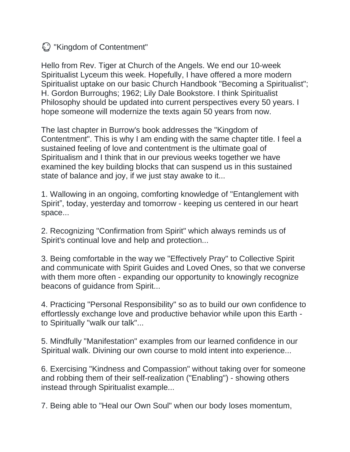$\bigcirc$  "Kingdom of Contentment"

Hello from Rev. Tiger at Church of the Angels. We end our 10-week Spiritualist Lyceum this week. Hopefully, I have offered a more modern Spiritualist uptake on our basic Church Handbook "Becoming a Spiritualist"; H. Gordon Burroughs; 1962; Lily Dale Bookstore. I think Spiritualist Philosophy should be updated into current perspectives every 50 years. I hope someone will modernize the texts again 50 years from now.

The last chapter in Burrow's book addresses the "Kingdom of Contentment". This is why I am ending with the same chapter title. I feel a sustained feeling of love and contentment is the ultimate goal of Spiritualism and I think that in our previous weeks together we have examined the key building blocks that can suspend us in this sustained state of balance and joy, if we just stay awake to it...

1. Wallowing in an ongoing, comforting knowledge of "Entanglement with Spirit", today, yesterday and tomorrow - keeping us centered in our heart space...

2. Recognizing "Confirmation from Spirit" which always reminds us of Spirit's continual love and help and protection...

3. Being comfortable in the way we "Effectively Pray" to Collective Spirit and communicate with Spirit Guides and Loved Ones, so that we converse with them more often - expanding our opportunity to knowingly recognize beacons of guidance from Spirit...

4. Practicing "Personal Responsibility" so as to build our own confidence to effortlessly exchange love and productive behavior while upon this Earth to Spiritually "walk our talk"...

5. Mindfully "Manifestation" examples from our learned confidence in our Spiritual walk. Divining our own course to mold intent into experience...

6. Exercising "Kindness and Compassion" without taking over for someone and robbing them of their self-realization ("Enabling") - showing others instead through Spiritualist example...

7. Being able to "Heal our Own Soul" when our body loses momentum,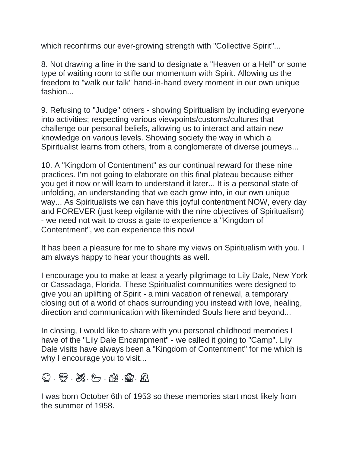which reconfirms our ever-growing strength with "Collective Spirit"...

8. Not drawing a line in the sand to designate a "Heaven or a Hell" or some type of waiting room to stifle our momentum with Spirit. Allowing us the freedom to "walk our talk" hand-in-hand every moment in our own unique fashion...

9. Refusing to "Judge" others - showing Spiritualism by including everyone into activities; respecting various viewpoints/customs/cultures that challenge our personal beliefs, allowing us to interact and attain new knowledge on various levels. Showing society the way in which a Spiritualist learns from others, from a conglomerate of diverse journeys...

10. A "Kingdom of Contentment" as our continual reward for these nine practices. I'm not going to elaborate on this final plateau because either you get it now or will learn to understand it later... It is a personal state of unfolding, an understanding that we each grow into, in our own unique way... As Spiritualists we can have this joyful contentment NOW, every day and FOREVER (just keep vigilante with the nine objectives of Spiritualism) - we need not wait to cross a gate to experience a "Kingdom of Contentment", we can experience this now!

It has been a pleasure for me to share my views on Spiritualism with you. I am always happy to hear your thoughts as well.

I encourage you to make at least a yearly pilgrimage to Lily Dale, New York or Cassadaga, Florida. These Spiritualist communities were designed to give you an uplifting of Spirit - a mini vacation of renewal, a temporary closing out of a world of chaos surrounding you instead with love, healing, direction and communication with likeminded Souls here and beyond...

In closing, I would like to share with you personal childhood memories I have of the "Lily Dale Encampment" - we called it going to "Camp". Lily Dale visits have always been a "Kingdom of Contentment" for me which is why I encourage you to visit...

0  $\oplus$  2 2 5 4 2 5 5

I was born October 6th of 1953 so these memories start most likely from the summer of 1958.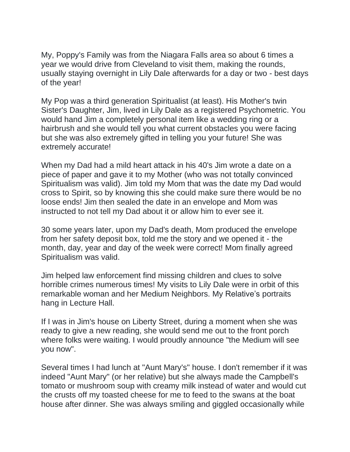My, Poppy's Family was from the Niagara Falls area so about 6 times a year we would drive from Cleveland to visit them, making the rounds, usually staying overnight in Lily Dale afterwards for a day or two - best days of the year!

My Pop was a third generation Spiritualist (at least). His Mother's twin Sister's Daughter, Jim, lived in Lily Dale as a registered Psychometric. You would hand Jim a completely personal item like a wedding ring or a hairbrush and she would tell you what current obstacles you were facing but she was also extremely gifted in telling you your future! She was extremely accurate!

When my Dad had a mild heart attack in his 40's Jim wrote a date on a piece of paper and gave it to my Mother (who was not totally convinced Spiritualism was valid). Jim told my Mom that was the date my Dad would cross to Spirit, so by knowing this she could make sure there would be no loose ends! Jim then sealed the date in an envelope and Mom was instructed to not tell my Dad about it or allow him to ever see it.

30 some years later, upon my Dad's death, Mom produced the envelope from her safety deposit box, told me the story and we opened it - the month, day, year and day of the week were correct! Mom finally agreed Spiritualism was valid.

Jim helped law enforcement find missing children and clues to solve horrible crimes numerous times! My visits to Lily Dale were in orbit of this remarkable woman and her Medium Neighbors. My Relative's portraits hang in Lecture Hall.

If I was in Jim's house on Liberty Street, during a moment when she was ready to give a new reading, she would send me out to the front porch where folks were waiting. I would proudly announce "the Medium will see you now".

Several times I had lunch at "Aunt Mary's" house. I don't remember if it was indeed "Aunt Mary" (or her relative) but she always made the Campbell's tomato or mushroom soup with creamy milk instead of water and would cut the crusts off my toasted cheese for me to feed to the swans at the boat house after dinner. She was always smiling and giggled occasionally while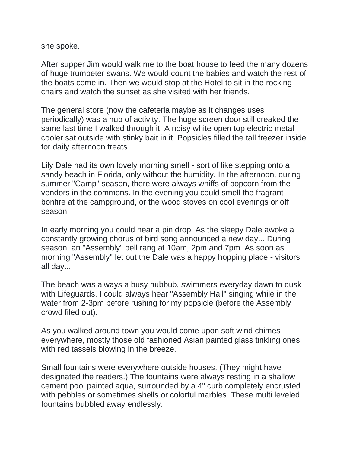she spoke.

After supper Jim would walk me to the boat house to feed the many dozens of huge trumpeter swans. We would count the babies and watch the rest of the boats come in. Then we would stop at the Hotel to sit in the rocking chairs and watch the sunset as she visited with her friends.

The general store (now the cafeteria maybe as it changes uses periodically) was a hub of activity. The huge screen door still creaked the same last time I walked through it! A noisy white open top electric metal cooler sat outside with stinky bait in it. Popsicles filled the tall freezer inside for daily afternoon treats.

Lily Dale had its own lovely morning smell - sort of like stepping onto a sandy beach in Florida, only without the humidity. In the afternoon, during summer "Camp" season, there were always whiffs of popcorn from the vendors in the commons. In the evening you could smell the fragrant bonfire at the campground, or the wood stoves on cool evenings or off season.

In early morning you could hear a pin drop. As the sleepy Dale awoke a constantly growing chorus of bird song announced a new day... During season, an "Assembly" bell rang at 10am, 2pm and 7pm. As soon as morning "Assembly" let out the Dale was a happy hopping place - visitors all day...

The beach was always a busy hubbub, swimmers everyday dawn to dusk with Lifeguards. I could always hear "Assembly Hall" singing while in the water from 2-3pm before rushing for my popsicle (before the Assembly crowd filed out).

As you walked around town you would come upon soft wind chimes everywhere, mostly those old fashioned Asian painted glass tinkling ones with red tassels blowing in the breeze.

Small fountains were everywhere outside houses. (They might have designated the readers.) The fountains were always resting in a shallow cement pool painted aqua, surrounded by a 4" curb completely encrusted with pebbles or sometimes shells or colorful marbles. These multi leveled fountains bubbled away endlessly.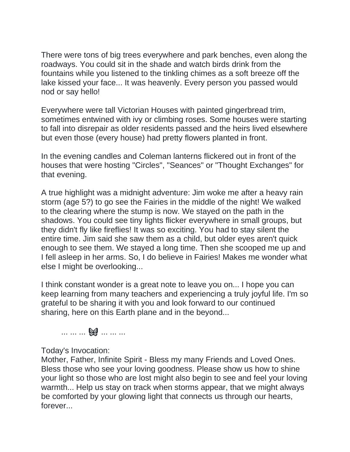There were tons of big trees everywhere and park benches, even along the roadways. You could sit in the shade and watch birds drink from the fountains while you listened to the tinkling chimes as a soft breeze off the lake kissed your face... It was heavenly. Every person you passed would nod or say hello!

Everywhere were tall Victorian Houses with painted gingerbread trim, sometimes entwined with ivy or climbing roses. Some houses were starting to fall into disrepair as older residents passed and the heirs lived elsewhere but even those (every house) had pretty flowers planted in front.

In the evening candles and Coleman lanterns flickered out in front of the houses that were hosting "Circles", "Seances" or "Thought Exchanges" for that evening.

A true highlight was a midnight adventure: Jim woke me after a heavy rain storm (age 5?) to go see the Fairies in the middle of the night! We walked to the clearing where the stump is now. We stayed on the path in the shadows. You could see tiny lights flicker everywhere in small groups, but they didn't fly like fireflies! It was so exciting. You had to stay silent the entire time. Jim said she saw them as a child, but older eyes aren't quick enough to see them. We stayed a long time. Then she scooped me up and I fell asleep in her arms. So, I do believe in Fairies! Makes me wonder what else I might be overlooking...

I think constant wonder is a great note to leave you on... I hope you can keep learning from many teachers and experiencing a truly joyful life. I'm so grateful to be sharing it with you and look forward to our continued sharing, here on this Earth plane and in the beyond...



## Today's Invocation:

Mother, Father, Infinite Spirit - Bless my many Friends and Loved Ones. Bless those who see your loving goodness. Please show us how to shine your light so those who are lost might also begin to see and feel your loving warmth... Help us stay on track when storms appear, that we might always be comforted by your glowing light that connects us through our hearts, forever...